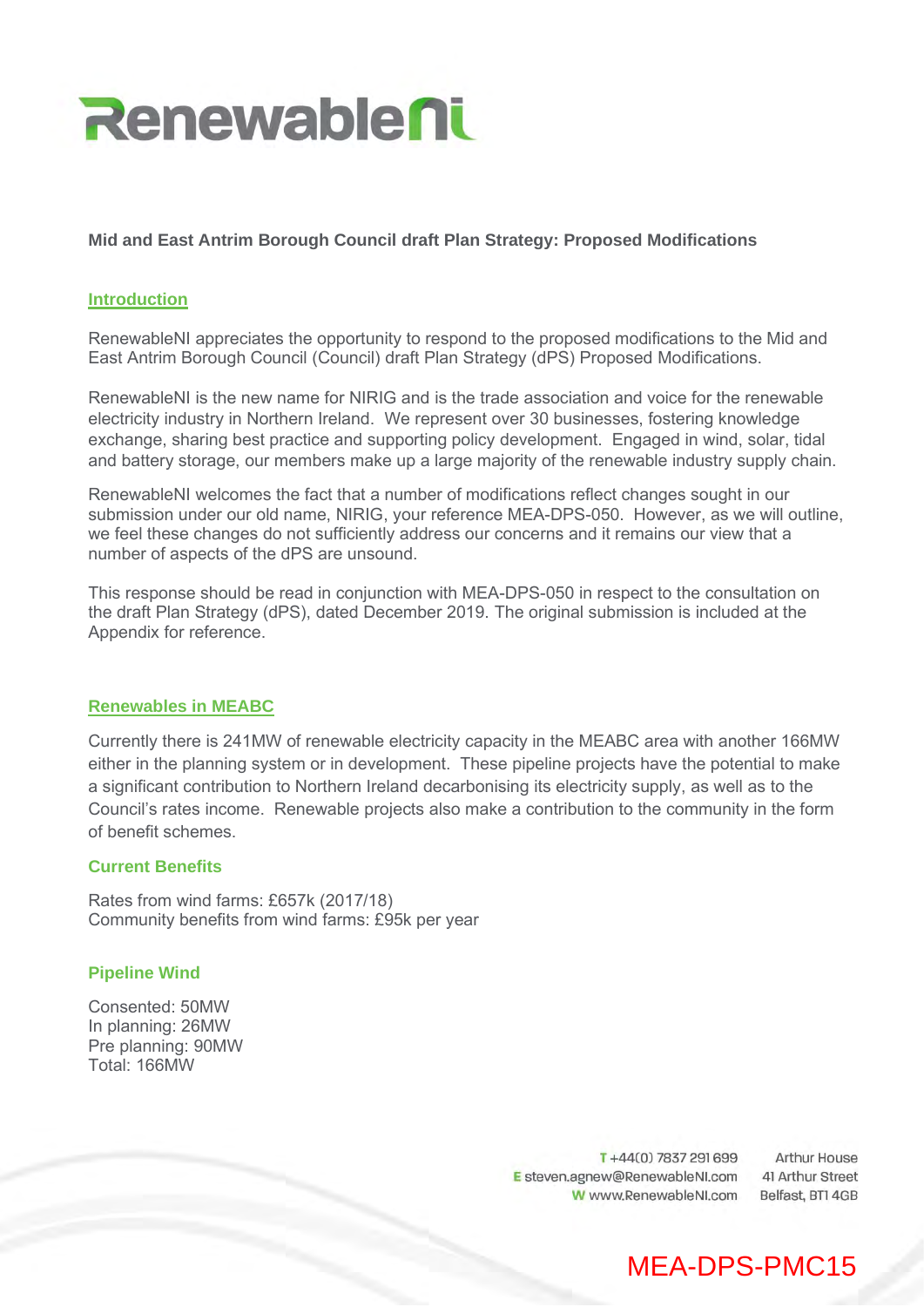

# **Mid and East Antrim Borough Council draft Plan Strategy: Proposed Modifications**

## **Introduction**

RenewableNI appreciates the opportunity to respond to the proposed modifications to the Mid and East Antrim Borough Council (Council) draft Plan Strategy (dPS) Proposed Modifications.

RenewableNI is the new name for NIRIG and is the trade association and voice for the renewable electricity industry in Northern Ireland. We represent over 30 businesses, fostering knowledge exchange, sharing best practice and supporting policy development. Engaged in wind, solar, tidal and battery storage, our members make up a large majority of the renewable industry supply chain.

RenewableNI welcomes the fact that a number of modifications reflect changes sought in our submission under our old name, NIRIG, your reference MEA-DPS-050. However, as we will outline, we feel these changes do not sufficiently address our concerns and it remains our view that a number of aspects of the dPS are unsound.

This response should be read in conjunction with MEA-DPS-050 in respect to the consultation on the draft Plan Strategy (dPS), dated December 2019. The original submission is included at the Appendix for reference.

## **Renewables in MEABC**

Currently there is 241MW of renewable electricity capacity in the MEABC area with another 166MW either in the planning system or in development. These pipeline projects have the potential to make a significant contribution to Northern Ireland decarbonising its electricity supply, as well as to the Council's rates income. Renewable projects also make a contribution to the community in the form of benefit schemes.

## **Current Benefits**

Rates from wind farms: £657k (2017/18) Community benefits from wind farms: £95k per year

## **Pipeline Wind**

Consented: 50MW In planning: 26MW Pre planning: 90MW Total: 166MW

> T+44(0) 7837 291 699 E steven.agnew@RenewableNI.com W www.RenewableNI.com

**Arthur House** 41 Arthur Street Belfast, BTI 4GB

# MEA-DPS-PMC15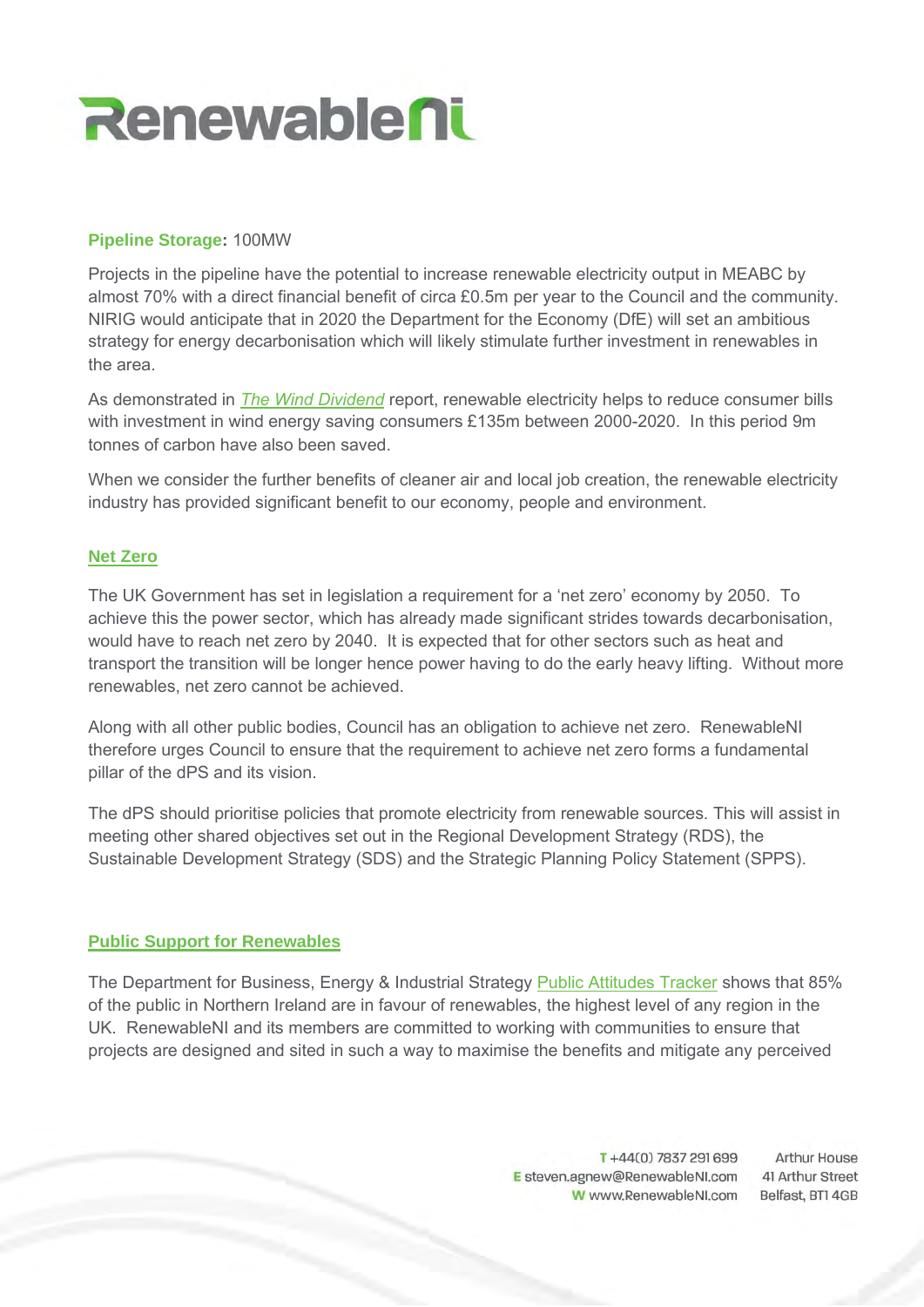

## **Pipeline Storage:** 100MW

Projects in the pipeline have the potential to increase renewable electricity output in MEABC by almost 70% with a direct financial benefit of circa £0.5m per year to the Council and the community. NIRIG would anticipate that in 2020 the Department for the Economy (DfE) will set an ambitious strategy for energy decarbonisation which will likely stimulate further investment in renewables in the area.

As demonstrated in *The Wind Dividend* report, renewable electricity helps to reduce consumer bills with investment in wind energy saving consumers £135m between 2000-2020. In this period 9m tonnes of carbon have also been saved.

When we consider the further benefits of cleaner air and local job creation, the renewable electricity industry has provided significant benefit to our economy, people and environment.

# **Net Zero**

The UK Government has set in legislation a requirement for a 'net zero' economy by 2050. To achieve this the power sector, which has already made significant strides towards decarbonisation, would have to reach net zero by 2040. It is expected that for other sectors such as heat and transport the transition will be longer hence power having to do the early heavy lifting. Without more renewables, net zero cannot be achieved.

Along with all other public bodies, Council has an obligation to achieve net zero. RenewableNI therefore urges Council to ensure that the requirement to achieve net zero forms a fundamental pillar of the dPS and its vision.

The dPS should prioritise policies that promote electricity from renewable sources. This will assist in meeting other shared objectives set out in the Regional Development Strategy (RDS), the Sustainable Development Strategy (SDS) and the Strategic Planning Policy Statement (SPPS).

## **Public Support for Renewables**

The Department for Business, Energy & Industrial Strategy Public Attitudes Tracker shows that 85% of the public in Northern Ireland are in favour of renewables, the highest level of any region in the UK. RenewableNI and its members are committed to working with communities to ensure that projects are designed and sited in such a way to maximise the benefits and mitigate any perceived

> T+44(0) 7837 291 699 E steven.agnew@RenewableNI.com W www.RenewableNI.com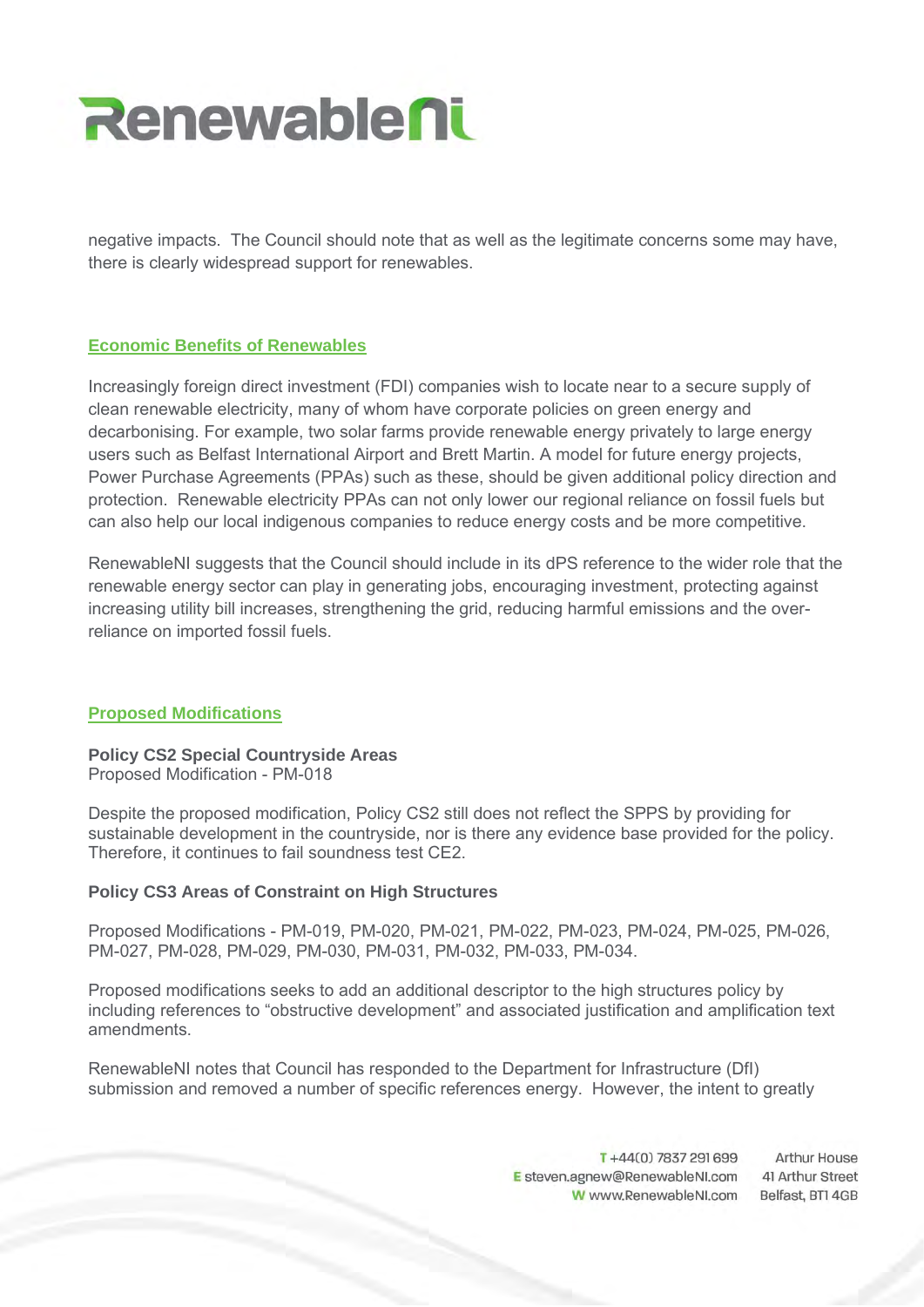

negative impacts. The Council should note that as well as the legitimate concerns some may have, there is clearly widespread support for renewables.

# **Economic Benefits of Renewables**

Increasingly foreign direct investment (FDI) companies wish to locate near to a secure supply of clean renewable electricity, many of whom have corporate policies on green energy and decarbonising. For example, two solar farms provide renewable energy privately to large energy users such as Belfast International Airport and Brett Martin. A model for future energy projects, Power Purchase Agreements (PPAs) such as these, should be given additional policy direction and protection. Renewable electricity PPAs can not only lower our regional reliance on fossil fuels but can also help our local indigenous companies to reduce energy costs and be more competitive.

RenewableNI suggests that the Council should include in its dPS reference to the wider role that the renewable energy sector can play in generating jobs, encouraging investment, protecting against increasing utility bill increases, strengthening the grid, reducing harmful emissions and the overreliance on imported fossil fuels.

## **Proposed Modifications**

**Policy CS2 Special Countryside Areas** Proposed Modification - PM-018

Despite the proposed modification, Policy CS2 still does not reflect the SPPS by providing for sustainable development in the countryside, nor is there any evidence base provided for the policy. Therefore, it continues to fail soundness test CE2.

## **Policy CS3 Areas of Constraint on High Structures**

Proposed Modifications - PM-019, PM-020, PM-021, PM-022, PM-023, PM-024, PM-025, PM-026, PM-027, PM-028, PM-029, PM-030, PM-031, PM-032, PM-033, PM-034.

Proposed modifications seeks to add an additional descriptor to the high structures policy by including references to "obstructive development" and associated justification and amplification text amendments.

RenewableNI notes that Council has responded to the Department for Infrastructure (DfI) submission and removed a number of specific references energy. However, the intent to greatly

> T+44(0) 7837 291 699 **Arthur House** E steven.agnew@RenewableNI.com 41 Arthur Street W www.RenewableNI.com Belfast, BT1 4GB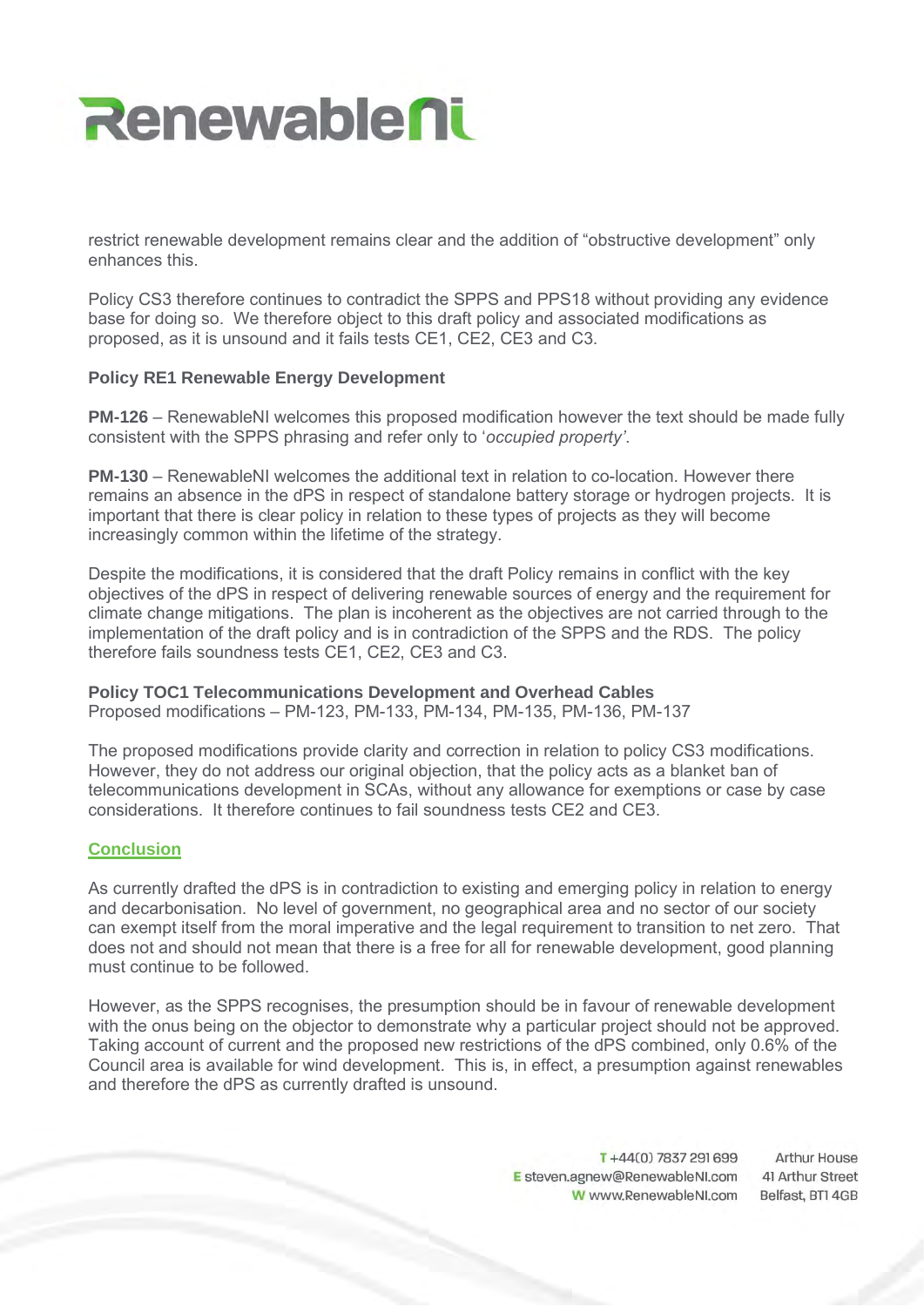

restrict renewable development remains clear and the addition of "obstructive development" only enhances this.

Policy CS3 therefore continues to contradict the SPPS and PPS18 without providing any evidence base for doing so. We therefore object to this draft policy and associated modifications as proposed, as it is unsound and it fails tests CE1, CE2, CE3 and C3.

## **Policy RE1 Renewable Energy Development**

**PM-126** – RenewableNI welcomes this proposed modification however the text should be made fully consistent with the SPPS phrasing and refer only to '*occupied property'*.

**PM-130** – RenewableNI welcomes the additional text in relation to co-location. However there remains an absence in the dPS in respect of standalone battery storage or hydrogen projects. It is important that there is clear policy in relation to these types of projects as they will become increasingly common within the lifetime of the strategy.

Despite the modifications, it is considered that the draft Policy remains in conflict with the key objectives of the dPS in respect of delivering renewable sources of energy and the requirement for climate change mitigations. The plan is incoherent as the objectives are not carried through to the implementation of the draft policy and is in contradiction of the SPPS and the RDS. The policy therefore fails soundness tests CE1, CE2, CE3 and C3.

## **Policy TOC1 Telecommunications Development and Overhead Cables**

Proposed modifications – PM-123, PM-133, PM-134, PM-135, PM-136, PM-137

The proposed modifications provide clarity and correction in relation to policy CS3 modifications. However, they do not address our original objection, that the policy acts as a blanket ban of telecommunications development in SCAs, without any allowance for exemptions or case by case considerations. It therefore continues to fail soundness tests CE2 and CE3.

## **Conclusion**

As currently drafted the dPS is in contradiction to existing and emerging policy in relation to energy and decarbonisation. No level of government, no geographical area and no sector of our society can exempt itself from the moral imperative and the legal requirement to transition to net zero. That does not and should not mean that there is a free for all for renewable development, good planning must continue to be followed.

However, as the SPPS recognises, the presumption should be in favour of renewable development with the onus being on the objector to demonstrate why a particular project should not be approved. Taking account of current and the proposed new restrictions of the dPS combined, only 0.6% of the Council area is available for wind development. This is, in effect, a presumption against renewables and therefore the dPS as currently drafted is unsound.

> $T + 44(0)$  7837 291 699 **Arthur House** E steven.agnew@RenewableNI.com 41 Arthur Street W www.RenewableNI.com Belfast, BT1 4GB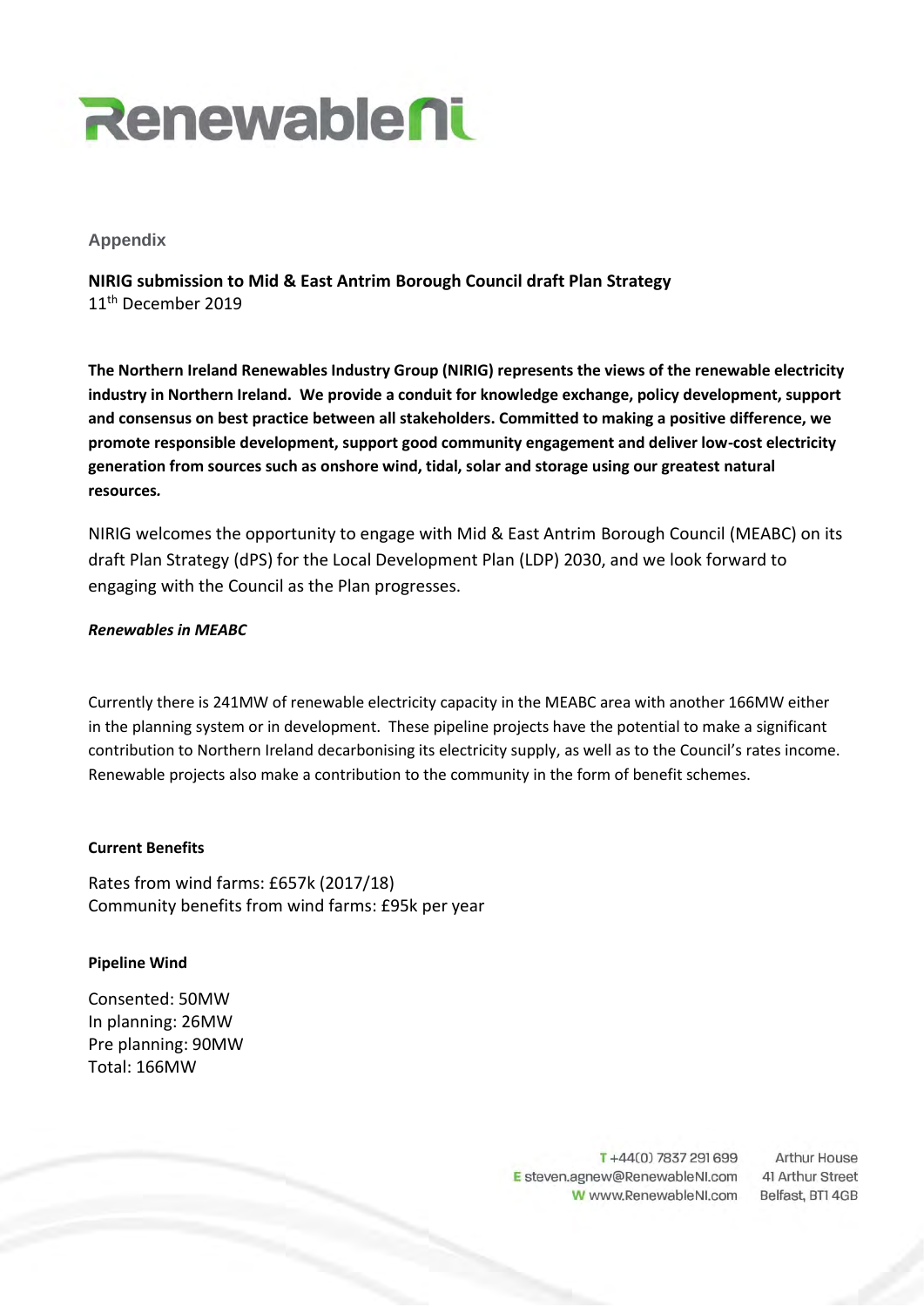

## **Appendix**

**NIRIG submission to Mid & East Antrim Borough Council draft Plan Strategy** 11<sup>th</sup> December 2019

**The Northern Ireland Renewables Industry Group (NIRIG) represents the views of the renewable electricity industry in Northern Ireland. We provide a conduit for knowledge exchange, policy development, support and consensus on best practice between all stakeholders. Committed to making a positive difference, we promote responsible development, support good community engagement and deliver low-cost electricity generation from sources such as onshore wind, tidal, solar and storage using our greatest natural resources***.*

NIRIG welcomes the opportunity to engage with Mid & East Antrim Borough Council (MEABC) on its draft Plan Strategy (dPS) for the Local Development Plan (LDP) 2030, and we look forward to engaging with the Council as the Plan progresses.

#### *Renewables in MEABC*

Currently there is 241MW of renewable electricity capacity in the MEABC area with another 166MW either in the planning system or in development. These pipeline projects have the potential to make a significant contribution to Northern Ireland decarbonising its electricity supply, as well as to the Council's rates income. Renewable projects also make a contribution to the community in the form of benefit schemes.

#### **Current Benefits**

Rates from wind farms: £657k (2017/18) Community benefits from wind farms: £95k per year

## **Pipeline Wind**

Consented: 50MW In planning: 26MW Pre planning: 90MW Total: 166MW

> T+44(0) 7837 291 699 E steven.agnew@RenewableNI.com W www.RenewableNI.com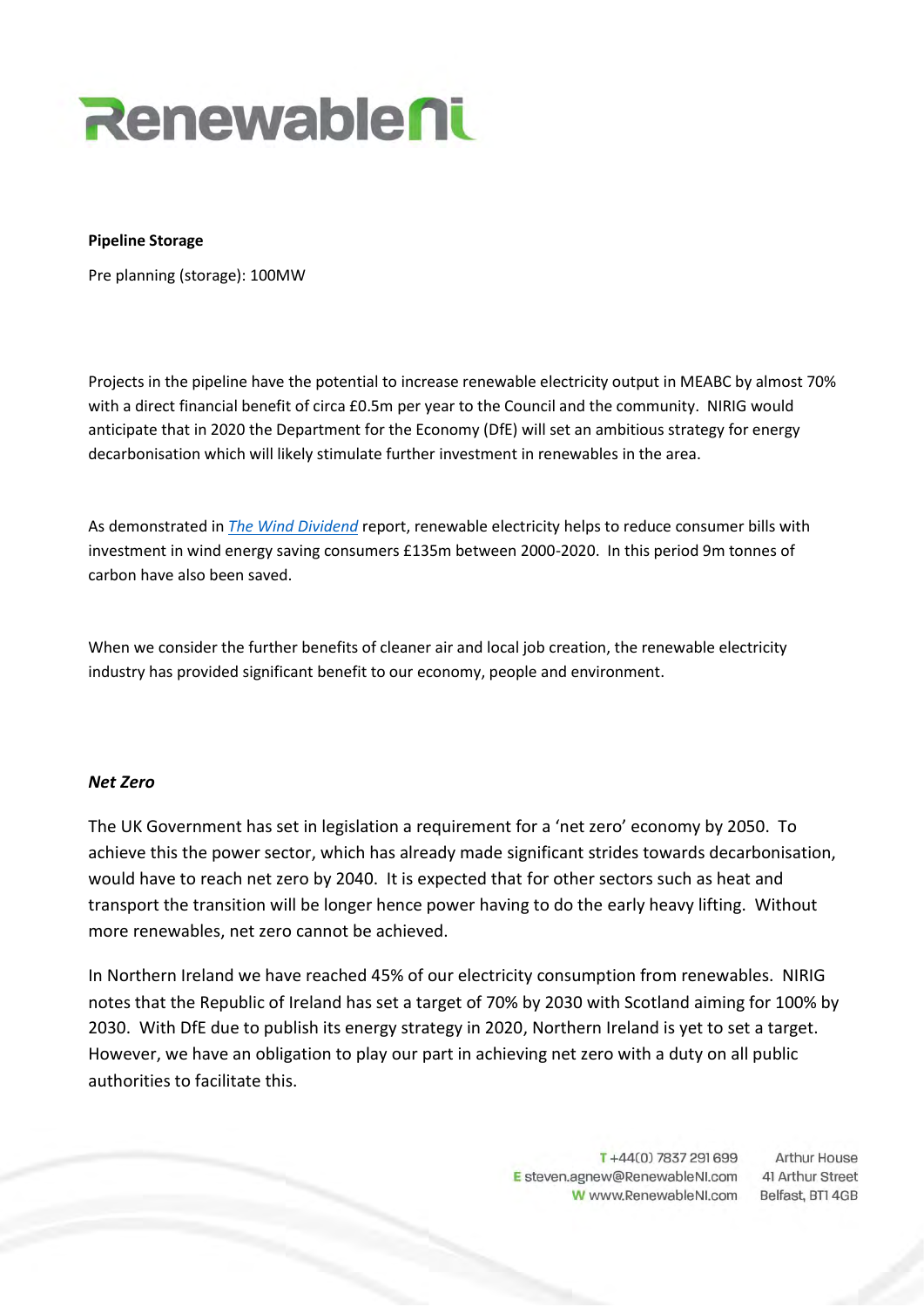

#### **Pipeline Storage**

Pre planning (storage): 100MW

Projects in the pipeline have the potential to increase renewable electricity output in MEABC by almost 70% with a direct financial benefit of circa £0.5m per year to the Council and the community. NIRIG would anticipate that in 2020 the Department for the Economy (DfE) will set an ambitious strategy for energy decarbonisation which will likely stimulate further investment in renewables in the area.

As demonstrated in *The Wind Dividend* report, renewable electricity helps to reduce consumer bills with investment in wind energy saving consumers £135m between 2000-2020. In this period 9m tonnes of carbon have also been saved.

When we consider the further benefits of cleaner air and local job creation, the renewable electricity industry has provided significant benefit to our economy, people and environment.

## *Net Zero*

The UK Government has set in legislation a requirement for a 'net zero' economy by 2050. To achieve this the power sector, which has already made significant strides towards decarbonisation, would have to reach net zero by 2040. It is expected that for other sectors such as heat and transport the transition will be longer hence power having to do the early heavy lifting. Without more renewables, net zero cannot be achieved.

In Northern Ireland we have reached 45% of our electricity consumption from renewables. NIRIG notes that the Republic of Ireland has set a target of 70% by 2030 with Scotland aiming for 100% by 2030. With DfE due to publish its energy strategy in 2020, Northern Ireland is yet to set a target. However, we have an obligation to play our part in achieving net zero with a duty on all public authorities to facilitate this.

> T+44(0) 7837 291 699 E steven.agnew@RenewableNI.com W www.RenewableNI.com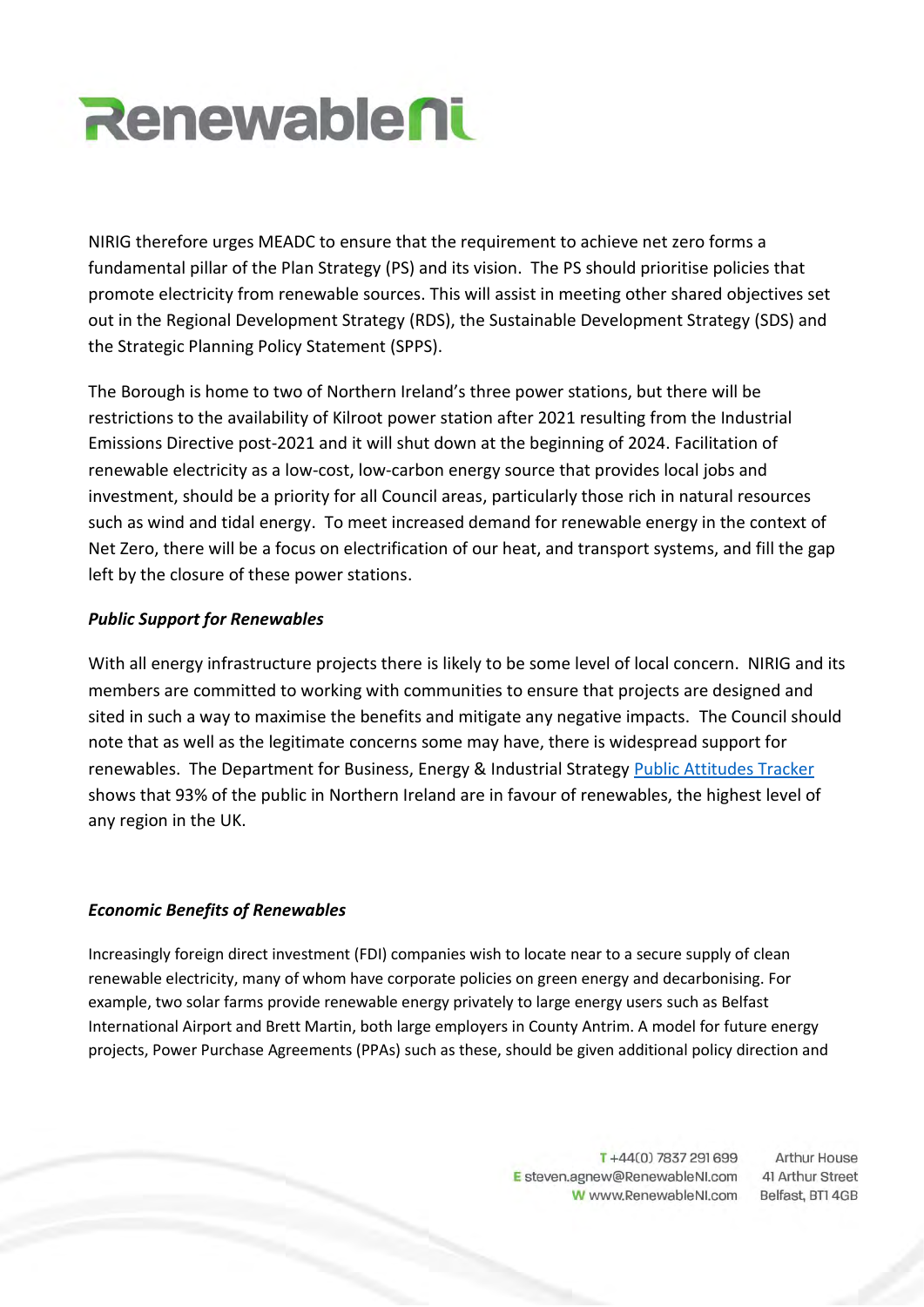

NIRIG therefore urges MEADC to ensure that the requirement to achieve net zero forms a fundamental pillar of the Plan Strategy (PS) and its vision. The PS should prioritise policies that promote electricity from renewable sources. This will assist in meeting other shared objectives set out in the Regional Development Strategy (RDS), the Sustainable Development Strategy (SDS) and the Strategic Planning Policy Statement (SPPS).

The Borough is home to two of Northern Ireland's three power stations, but there will be restrictions to the availability of Kilroot power station after 2021 resulting from the Industrial Emissions Directive post-2021 and it will shut down at the beginning of 2024. Facilitation of renewable electricity as a low-cost, low-carbon energy source that provides local jobs and investment, should be a priority for all Council areas, particularly those rich in natural resources such as wind and tidal energy. To meet increased demand for renewable energy in the context of Net Zero, there will be a focus on electrification of our heat, and transport systems, and fill the gap left by the closure of these power stations.

# *Public Support for Renewables*

With all energy infrastructure projects there is likely to be some level of local concern. NIRIG and its members are committed to working with communities to ensure that projects are designed and sited in such a way to maximise the benefits and mitigate any negative impacts. The Council should note that as well as the legitimate concerns some may have, there is widespread support for renewables. The Department for Business, Energy & Industrial Strategy Public Attitudes Tracker shows that 93% of the public in Northern Ireland are in favour of renewables, the highest level of any region in the UK.

## *Economic Benefits of Renewables*

Increasingly foreign direct investment (FDI) companies wish to locate near to a secure supply of clean renewable electricity, many of whom have corporate policies on green energy and decarbonising. For example, two solar farms provide renewable energy privately to large energy users such as Belfast International Airport and Brett Martin, both large employers in County Antrim. A model for future energy projects, Power Purchase Agreements (PPAs) such as these, should be given additional policy direction and

> T+44(0) 7837 291 699 E steven.agnew@RenewableNI.com W www.RenewableNI.com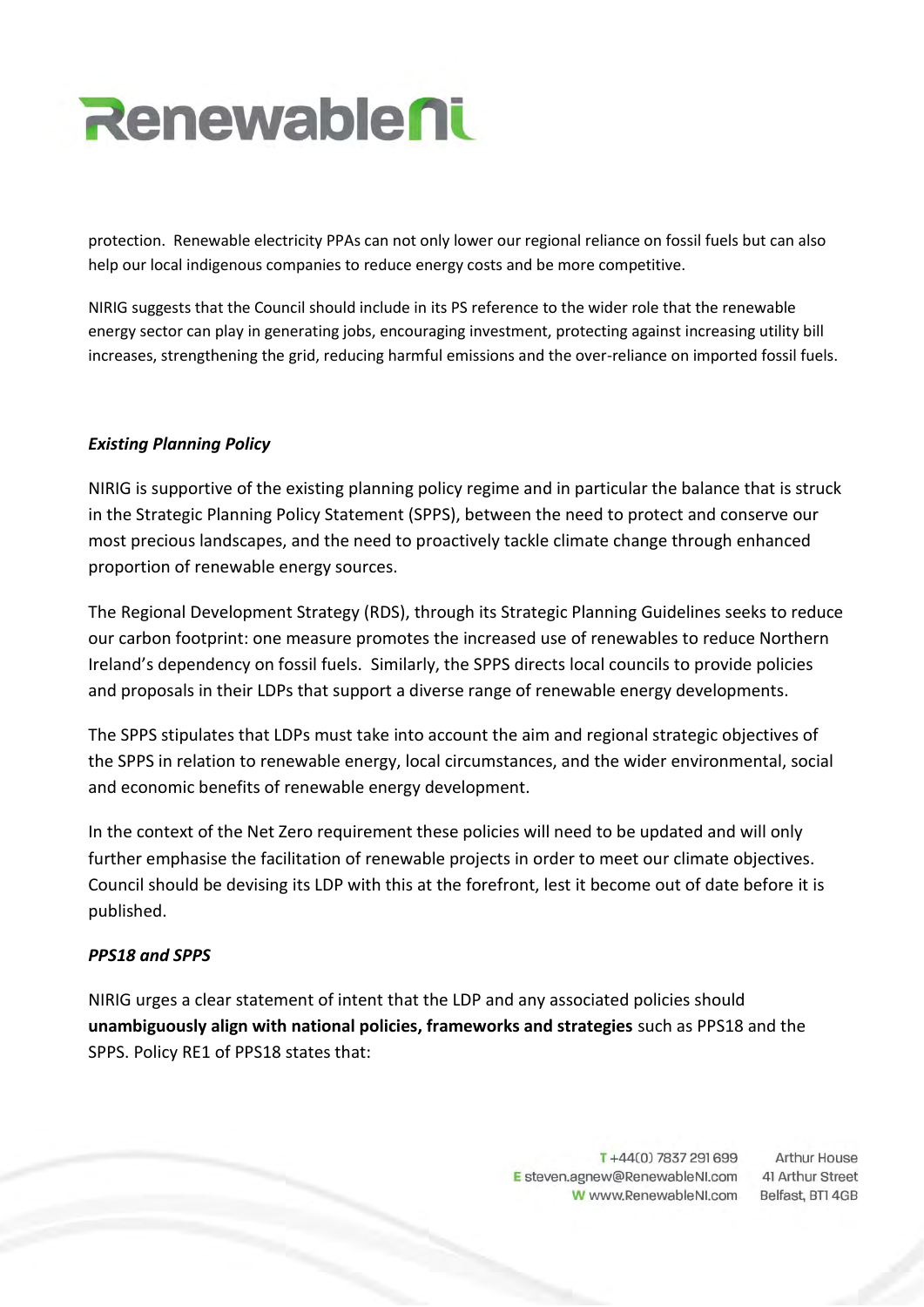

protection. Renewable electricity PPAs can not only lower our regional reliance on fossil fuels but can also help our local indigenous companies to reduce energy costs and be more competitive.

NIRIG suggests that the Council should include in its PS reference to the wider role that the renewable energy sector can play in generating jobs, encouraging investment, protecting against increasing utility bill increases, strengthening the grid, reducing harmful emissions and the over-reliance on imported fossil fuels.

# *Existing Planning Policy*

NIRIG is supportive of the existing planning policy regime and in particular the balance that is struck in the Strategic Planning Policy Statement (SPPS), between the need to protect and conserve our most precious landscapes, and the need to proactively tackle climate change through enhanced proportion of renewable energy sources.

The Regional Development Strategy (RDS), through its Strategic Planning Guidelines seeks to reduce our carbon footprint: one measure promotes the increased use of renewables to reduce Northern Ireland's dependency on fossil fuels. Similarly, the SPPS directs local councils to provide policies and proposals in their LDPs that support a diverse range of renewable energy developments.

The SPPS stipulates that LDPs must take into account the aim and regional strategic objectives of the SPPS in relation to renewable energy, local circumstances, and the wider environmental, social and economic benefits of renewable energy development.

In the context of the Net Zero requirement these policies will need to be updated and will only further emphasise the facilitation of renewable projects in order to meet our climate objectives. Council should be devising its LDP with this at the forefront, lest it become out of date before it is published.

## *PPS18 and SPPS*

NIRIG urges a clear statement of intent that the LDP and any associated policies should **unambiguously align with national policies, frameworks and strategies** such as PPS18 and the SPPS. Policy RE1 of PPS18 states that:

> T+44(0) 7837 291 699 E steven.agnew@RenewableNI.com W www.RenewableNI.com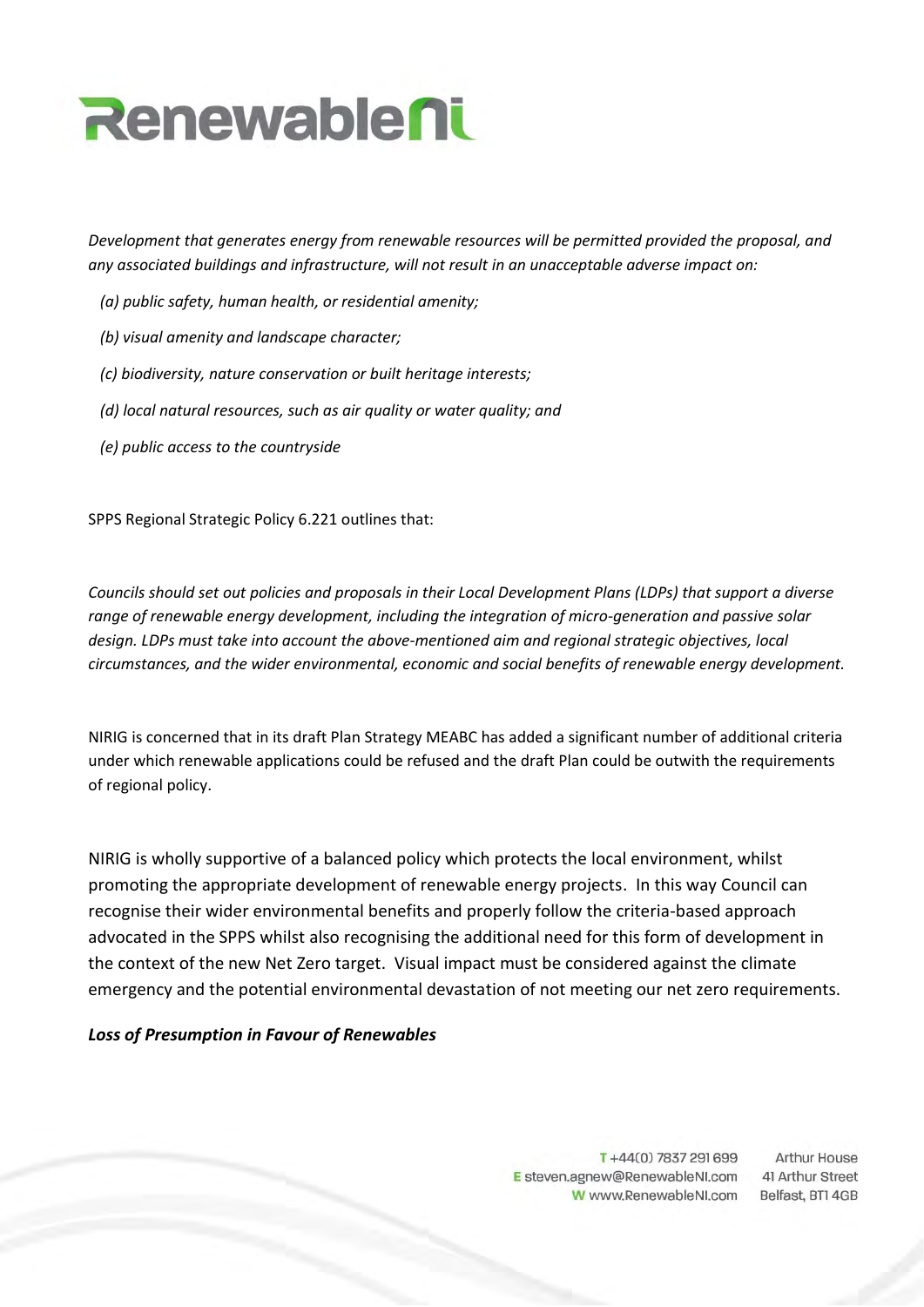

*Development that generates energy from renewable resources will be permitted provided the proposal, and any associated buildings and infrastructure, will not result in an unacceptable adverse impact on:* 

- *(a) public safety, human health, or residential amenity;*
- *(b) visual amenity and landscape character;*
- *(c) biodiversity, nature conservation or built heritage interests;*
- *(d) local natural resources, such as air quality or water quality; and*
- *(e) public access to the countryside*

SPPS Regional Strategic Policy 6.221 outlines that:

*Councils should set out policies and proposals in their Local Development Plans (LDPs) that support a diverse range of renewable energy development, including the integration of micro-generation and passive solar design. LDPs must take into account the above-mentioned aim and regional strategic objectives, local circumstances, and the wider environmental, economic and social benefits of renewable energy development.*

NIRIG is concerned that in its draft Plan Strategy MEABC has added a significant number of additional criteria under which renewable applications could be refused and the draft Plan could be outwith the requirements of regional policy.

NIRIG is wholly supportive of a balanced policy which protects the local environment, whilst promoting the appropriate development of renewable energy projects. In this way Council can recognise their wider environmental benefits and properly follow the criteria-based approach advocated in the SPPS whilst also recognising the additional need for this form of development in the context of the new Net Zero target. Visual impact must be considered against the climate emergency and the potential environmental devastation of not meeting our net zero requirements.

## *Loss of Presumption in Favour of Renewables*

T+44(0) 7837 291 699 E steven.agnew@RenewableNI.com W www.RenewableNI.com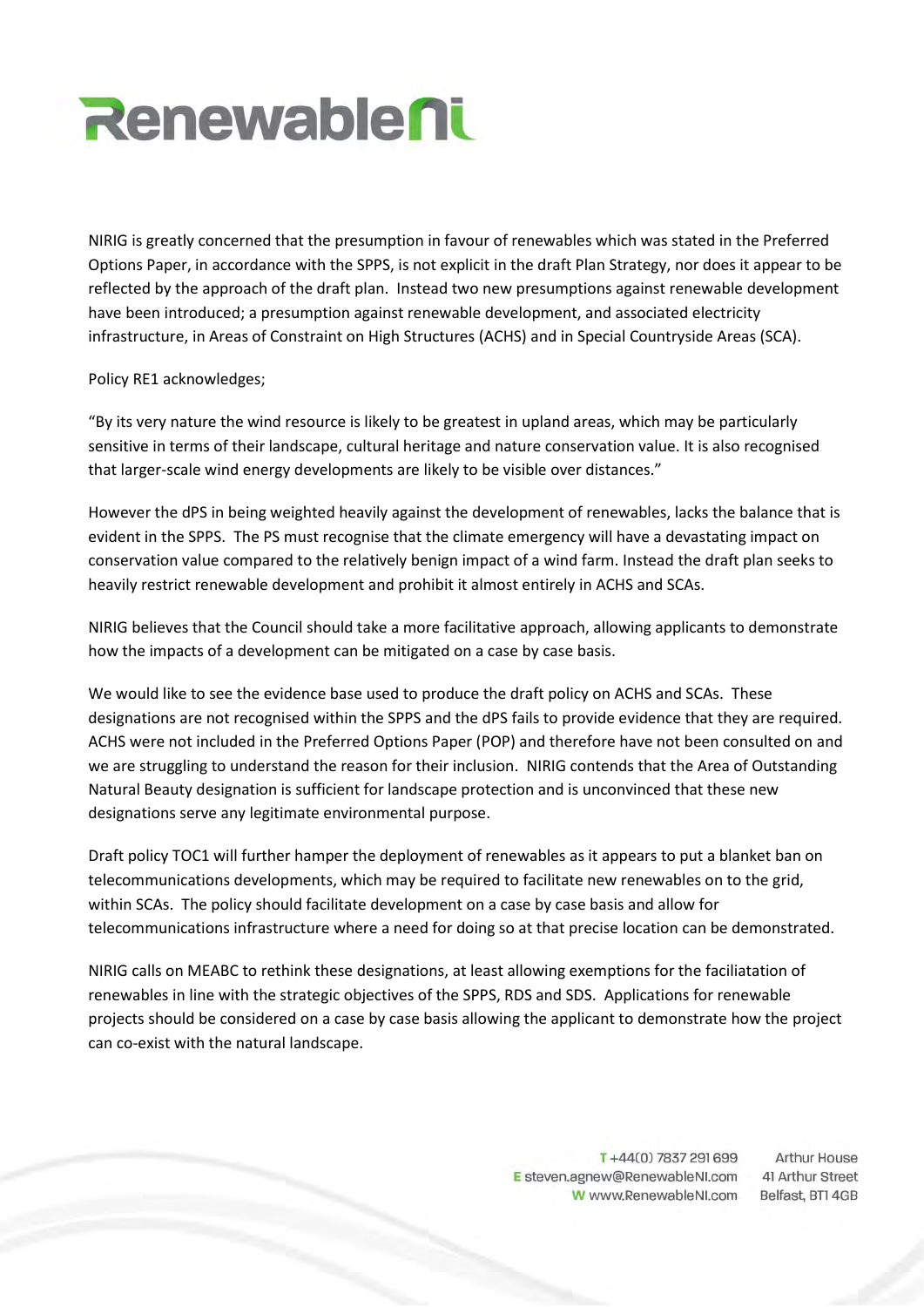

NIRIG is greatly concerned that the presumption in favour of renewables which was stated in the Preferred Options Paper, in accordance with the SPPS, is not explicit in the draft Plan Strategy, nor does it appear to be reflected by the approach of the draft plan. Instead two new presumptions against renewable development have been introduced; a presumption against renewable development, and associated electricity infrastructure, in Areas of Constraint on High Structures (ACHS) and in Special Countryside Areas (SCA).

## Policy RE1 acknowledges;

"By its very nature the wind resource is likely to be greatest in upland areas, which may be particularly sensitive in terms of their landscape, cultural heritage and nature conservation value. It is also recognised that larger-scale wind energy developments are likely to be visible over distances."

However the dPS in being weighted heavily against the development of renewables, lacks the balance that is evident in the SPPS. The PS must recognise that the climate emergency will have a devastating impact on conservation value compared to the relatively benign impact of a wind farm. Instead the draft plan seeks to heavily restrict renewable development and prohibit it almost entirely in ACHS and SCAs.

NIRIG believes that the Council should take a more facilitative approach, allowing applicants to demonstrate how the impacts of a development can be mitigated on a case by case basis.

We would like to see the evidence base used to produce the draft policy on ACHS and SCAs. These designations are not recognised within the SPPS and the dPS fails to provide evidence that they are required. ACHS were not included in the Preferred Options Paper (POP) and therefore have not been consulted on and we are struggling to understand the reason for their inclusion. NIRIG contends that the Area of Outstanding Natural Beauty designation is sufficient for landscape protection and is unconvinced that these new designations serve any legitimate environmental purpose.

Draft policy TOC1 will further hamper the deployment of renewables as it appears to put a blanket ban on telecommunications developments, which may be required to facilitate new renewables on to the grid, within SCAs. The policy should facilitate development on a case by case basis and allow for telecommunications infrastructure where a need for doing so at that precise location can be demonstrated.

NIRIG calls on MEABC to rethink these designations, at least allowing exemptions for the faciliatation of renewables in line with the strategic objectives of the SPPS, RDS and SDS. Applications for renewable projects should be considered on a case by case basis allowing the applicant to demonstrate how the project can co-exist with the natural landscape.

> T+44(0) 7837 291 699 E steven.agnew@RenewableNI.com W www.RenewableNI.com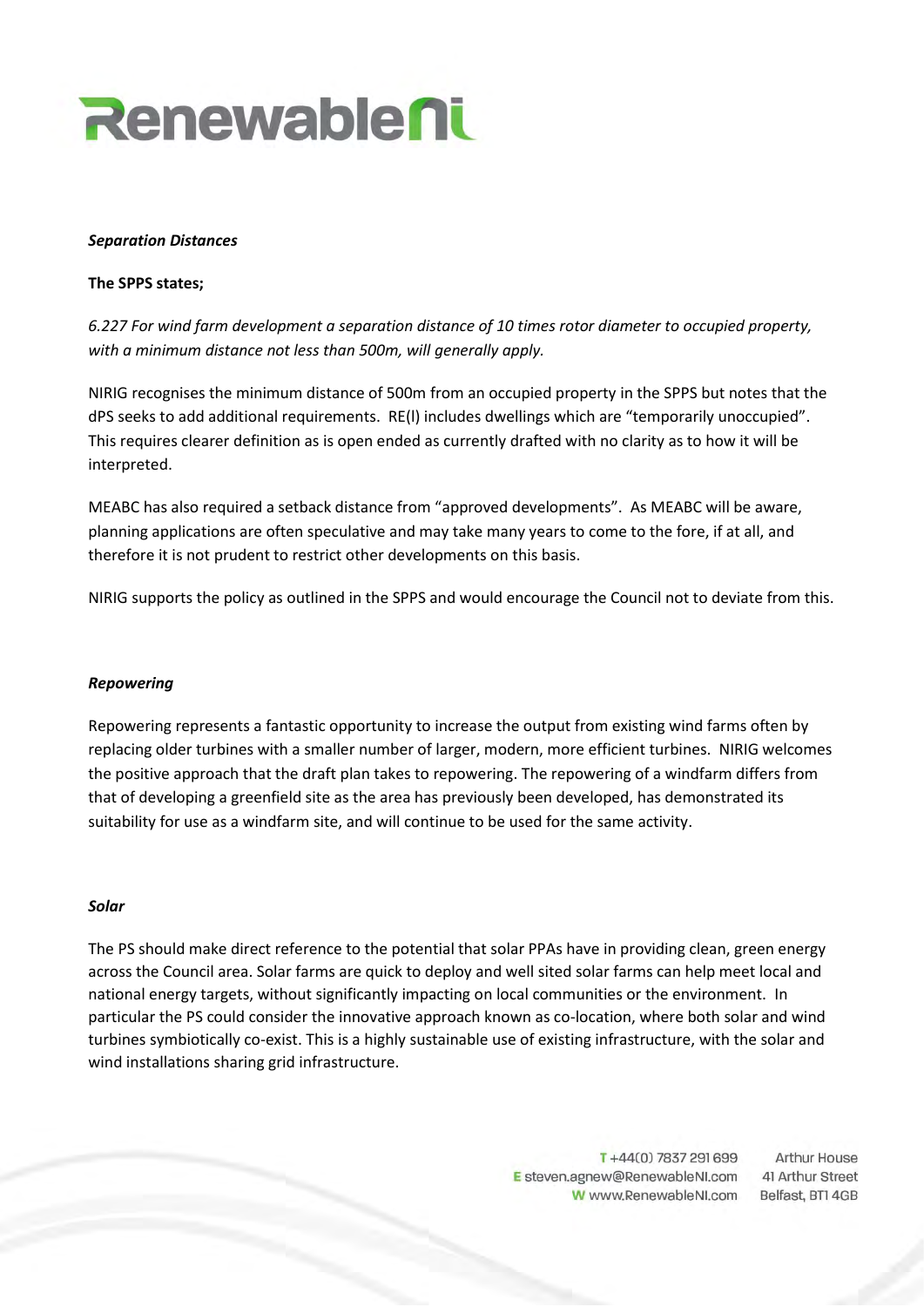

#### *Separation Distances*

#### **The SPPS states;**

*6.227 For wind farm development a separation distance of 10 times rotor diameter to occupied property, with a minimum distance not less than 500m, will generally apply.*

NIRIG recognises the minimum distance of 500m from an occupied property in the SPPS but notes that the dPS seeks to add additional requirements. RE(l) includes dwellings which are "temporarily unoccupied". This requires clearer definition as is open ended as currently drafted with no clarity as to how it will be interpreted.

MEABC has also required a setback distance from "approved developments". As MEABC will be aware, planning applications are often speculative and may take many years to come to the fore, if at all, and therefore it is not prudent to restrict other developments on this basis.

NIRIG supports the policy as outlined in the SPPS and would encourage the Council not to deviate from this.

## *Repowering*

Repowering represents a fantastic opportunity to increase the output from existing wind farms often by replacing older turbines with a smaller number of larger, modern, more efficient turbines. NIRIG welcomes the positive approach that the draft plan takes to repowering. The repowering of a windfarm differs from that of developing a greenfield site as the area has previously been developed, has demonstrated its suitability for use as a windfarm site, and will continue to be used for the same activity.

## *Solar*

The PS should make direct reference to the potential that solar PPAs have in providing clean, green energy across the Council area. Solar farms are quick to deploy and well sited solar farms can help meet local and national energy targets, without significantly impacting on local communities or the environment. In particular the PS could consider the innovative approach known as co-location, where both solar and wind turbines symbiotically co-exist. This is a highly sustainable use of existing infrastructure, with the solar and wind installations sharing grid infrastructure.

> T+44(0) 7837 291 699 E steven.agnew@RenewableNI.com W www.RenewableNI.com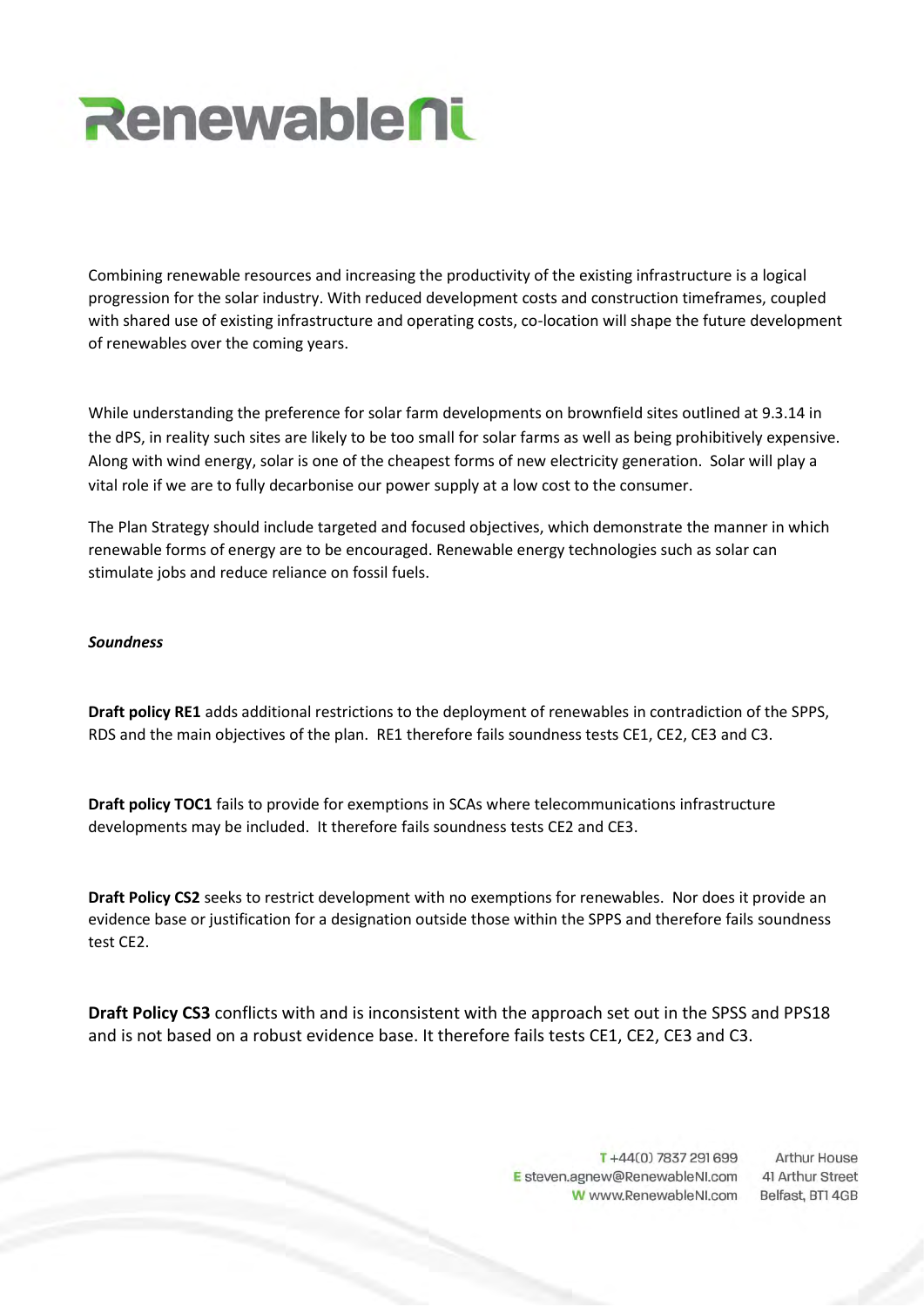

Combining renewable resources and increasing the productivity of the existing infrastructure is a logical progression for the solar industry. With reduced development costs and construction timeframes, coupled with shared use of existing infrastructure and operating costs, co-location will shape the future development of renewables over the coming years.

While understanding the preference for solar farm developments on brownfield sites outlined at 9.3.14 in the dPS, in reality such sites are likely to be too small for solar farms as well as being prohibitively expensive. Along with wind energy, solar is one of the cheapest forms of new electricity generation. Solar will play a vital role if we are to fully decarbonise our power supply at a low cost to the consumer.

The Plan Strategy should include targeted and focused objectives, which demonstrate the manner in which renewable forms of energy are to be encouraged. Renewable energy technologies such as solar can stimulate jobs and reduce reliance on fossil fuels.

#### *Soundness*

**Draft policy RE1** adds additional restrictions to the deployment of renewables in contradiction of the SPPS, RDS and the main objectives of the plan. RE1 therefore fails soundness tests CE1, CE2, CE3 and C3.

**Draft policy TOC1** fails to provide for exemptions in SCAs where telecommunications infrastructure developments may be included. It therefore fails soundness tests CE2 and CE3.

**Draft Policy CS2** seeks to restrict development with no exemptions for renewables. Nor does it provide an evidence base or justification for a designation outside those within the SPPS and therefore fails soundness test CE2.

**Draft Policy CS3** conflicts with and is inconsistent with the approach set out in the SPSS and PPS18 and is not based on a robust evidence base. It therefore fails tests CE1, CE2, CE3 and C3.

> T+44(0) 7837 291 699 **Arthur House** E steven.agnew@RenewableNI.com 41 Arthur Street W www.RenewableNI.com Belfast, BTI 4GB